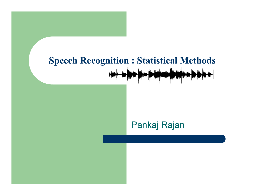#### **Speech Recognition : Statistical Methods the first security and the first security in**

#### Pankaj Rajan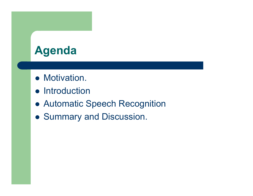### **Agenda**

- Motivation.
- **•** Introduction
- Automatic Speech Recognition
- **Summary and Discussion.**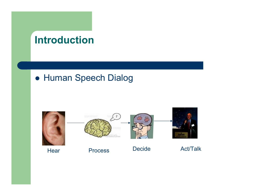#### **Introduction**

#### **• Human Speech Dialog**

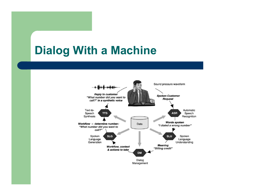### **Dialog With a Machine**

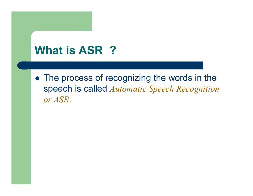## **What is ASR ?**

• The process of recognizing the words in the speech is called *Automatic Speech Recognition or ASR*.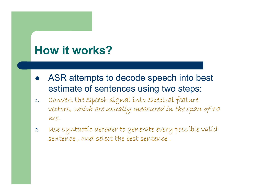### **How it works?**

- $\bullet$  ASR attempts to decode speech into best estimate of sentences using two steps:
- 1. Convert the Speech signal into Spectral feature vectors, which are usually measured in the span of 10  $MS.$
- 2. Use syntactic decoder to generate every possible valid sentence , and select the best sentence .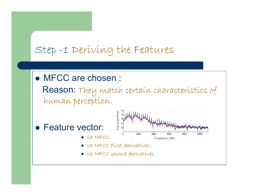#### Step -1 Deriving the Features

• MFCC are chosen :

Reason: They match certain characteristics of human perception.

- Feature vector:
	- $\bullet$  13 MFCC.



- z 13 MFCC First derivatives.
- 13 MFCC second derivatives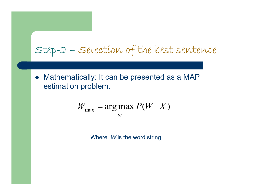Step-2 – Selection of the best sentence

• Mathematically: It can be presented as a MAP estimation problem.

$$
W_{\max} = \arg\max_{w} P(W \mid X)
$$

Where *W* is the word string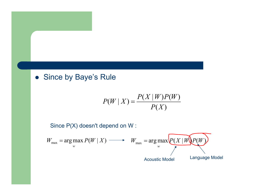#### • Since by Baye's Rule

$$
P(W \mid X) = \frac{P(X \mid W)P(W)}{P(X)}
$$

Since P(X) doesn't depend on W :

$$
W_{\max} = \arg \max_{w} P(W \mid X) \longrightarrow W_{\max} = \arg \max_{w} \underbrace{P(X \mid W)P(W)}_{\text{Acoustic Model}}
$$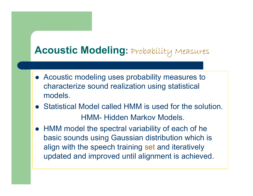#### **Acoustic Modeling:** Probability Measures

- Acoustic modeling uses probability measures to characterize sound realization using statistical models.
- Statistical Model called HMM is used for the solution. HMM- Hidden Markov Models.
- HMM model the spectral variability of each of he basic sounds using Gaussian distribution which is align with the speech training set and iteratively updated and improved until alignment is achieved.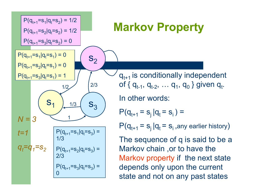

 $q_{t+1}$  is conditionally independent of { q<sub>t-1</sub>, q<sub>t-2</sub>, … q<sub>1</sub>, q<sub>0</sub> } given q<sub>t</sub>.

In other words:

$$
P(q_{t+1} = s_j | q_t = s_i) =
$$

**Markov Property**

 $\mathsf{P}(\mathsf{q}_{\mathsf{t}^+1} \mathsf{=} \, \mathsf{s}_{\mathsf{j}} \,|\mathsf{q}_\mathsf{t} \mathsf{=} \, \mathsf{s}_{\mathsf{i}}$  ,any earlier history $)$ 

The sequence of q is said to be a Markov chain ,or to have the Markov property if the next state depends only upon the current state and not on any past states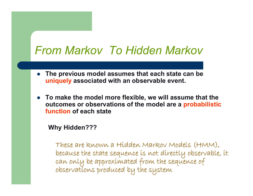### *From Markov To Hidden Markov*

- $\bullet$  **The previous model assumes that each state can be uniquely associated with an observable event.**
- **To make the model more flexible, we will assume that the outcomes or observations of the model are a probabilistic function of each state**

**Why Hidden???**

These are known a Hidden Markov Models (HMM), These are known a Hidden Markov Models (HMM), because the state sequence is not directly observable, it<br>can only be approximated from the sequence of<br>observations produced by the system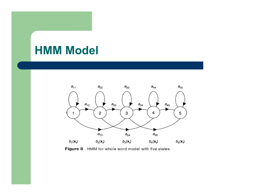### **HMM Model**



Figure 8 HMM for whole word model with five states.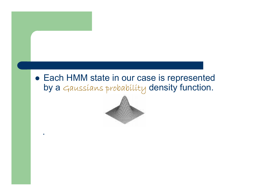#### • Each HMM state in our case is represented by a Gaussians probability density function.



.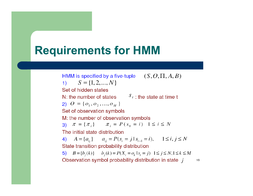### **Requirements for HMM**

HMM is specified by a five-tuple  $(S, O, \Pi, A, B)$ 1)  $S = \{1, 2, ..., N\}$ Set of hidden states N: the number of states  $S_t$ : the state at time t 2)  $O = \{O_1, O_2, ..., O_M\}$ Set of observation symbols M: the number of observation symbols 3)  $\pi = {\pi_i}$   $\pi_i = P(s_0 = i)$   $1 \le i \le N$ The initial state distribution 4)  $A = \{a_{ij}\}\qquad a_{ij} = P(s_i = j | s_{i-1} = i), \qquad 1 \le i, j \le N$ State transition probability distribution 5)  $B = \{b_i(k)\}\$   $b_i(k) = P(X_t = 0_k | s_t = j)$   $1 \le j \le N, 1 \le k \le M$ Observation symbol probability distribution in state  $j$ 

16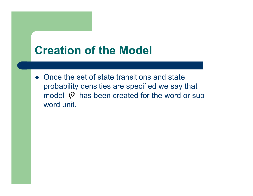### **Creation of the Model**

• Once the set of state transitions and state probability densities are specified we say that model  $\varphi$  has been created for the word or subword unit.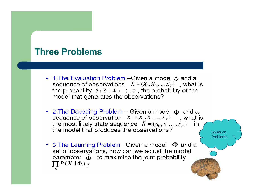#### **Three Problems**

- 1. The Evaluation Problem Given a model  $\Phi$  and a sequence of observations  $X = (X_1, X_2, ..., X_T)$ , what is the probability  $P(X | \Phi)$ ; i.e., the probability of the model that generates the observations?
- 2. The Decoding Problem Given a model  $\Phi$  and a sequence of observation  $X = (X_1, X_2, ..., X_T)$ , what is the most likely state sequence  $S = (s_0, s_1, ..., s_T)$  in the model that produces the observations?

So much Problems

• 3. The Learning Problem - Given a model  $\Phi$  and a set of observations, how can we adjust the model parameter  $\hat{\Phi}$  to maximize the joint probability  $\prod P(X | \Phi)$ ?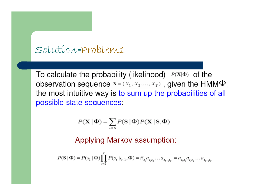#### Solution-Problem1

To calculate the probability (likelihood)  $P(X|\Phi)$  of the observation sequence  $X = (X_1, X_2, ..., X_T)$ , given the HMM $\Phi$ . the most intuitive way is to sum up the probabilities of all possible state sequences:

$$
P(\mathbf{X} | \Phi) = \sum_{\text{all } S} P(S | \Phi) P(\mathbf{X} | S, \Phi)
$$

Applying Markov assumption:

$$
P(\mathbf{S} \mid \Phi) = P(s_1 \mid \Phi) \prod_{t=2}^{T} P(s_t \mid s_{t-1}, \Phi) = \pi_{s_1} a_{s_1 s_2} \dots a_{s_{T-1} s_T} = a_{s_0 s_1} a_{s_1 s_2} \dots a_{s_{T-1} s_T}
$$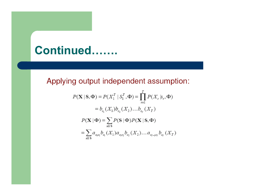### Continued.......

Applying output independent assumption:

$$
P(\mathbf{X} \mid \mathbf{S}, \Phi) = P(X_1^T \mid S_1^T, \Phi) = \prod_{r=1}^T P(X_r \mid s_r, \Phi)
$$
  
=  $b_{s_1}(X_1)b_{s_2}(X_2)...b_{s_r}(X_T)$   

$$
P(\mathbf{X} \mid \Phi) = \sum_{\text{all } S} P(\mathbf{S} \mid \Phi) P(\mathbf{X} \mid \mathbf{S}, \Phi)
$$
  
=  $\sum_{\text{all } S} a_{s_0 s_1} b_{s_1}(X_1) a_{s_1 s_2} b_{s_2}(X_2)...a_{s_{T-1} s_T} b_{s_T}(X_T)$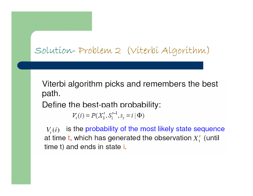#### Solution-Problem 2 (Viterbi Algorithm)

Viterbi algorithm picks and remembers the best path.

Define the best-path probability:

 $V_{t}(i) = P(X_{1}^{t}, S_{1}^{t-1}, s_{t} = i | \Phi)$ 

is the probability of the most likely state sequence  $V_{t}(i)$ at time t, which has generated the observation  $X^t$  (until time t) and ends in state i.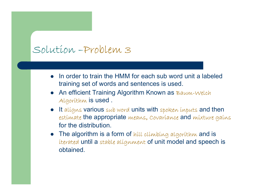#### Solution –Problem 3

- $\bullet$  In order to train the HMM for each sub word unit a labeled training set of words and sentences is used.
- An efficient Training Algorithm Known as Baum-Welch Algorithm is used .
- $\bullet$  It aligns various sub word units with spoken inputs and then estimate the appropriate means, Covariance and mixture gains for the distribution.
- $\bullet$  The algorithm is a form of hill climbing algorithm and is iterated until a stable alignment of unit model and speech is obtained.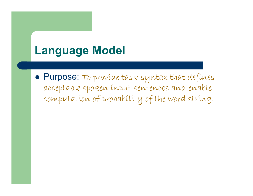### **Language Model**

 $\bullet$  Purpose: To provide task syntax that defines acceptable spoken input sentences and enable computation of probability of the word string.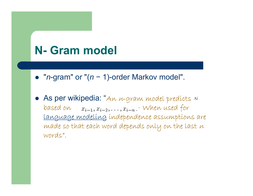## **N- Gram model**

- $\bullet$ " *<sup>n</sup>*-gram" or "( *n* − 1)-order Markov model".
- $\bullet$ **• As per wikipedia:** "An *n*-gram model predícts based on  $x_{i-1}, x_{i-2}, \ldots, x_{i-n}$ . When used for language modeling independence assumptions are made so that each word depends only on the last  $n$ words".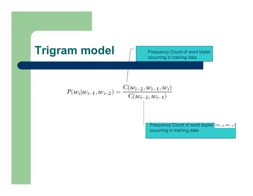# **Trigram model** Frequency Count of word triplet

$$
P(w_i|w_{i-1}, w_{i-2}) = \frac{C(w_{i-2}, w_{i-1}, w_i)}{C(w_{i-2}, w_{i-1})}
$$

Frequency Count of word duplet  $(w_{i-2}, w_{i-1})$ occurring in training data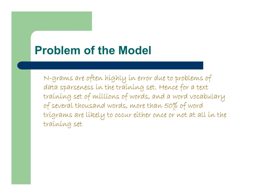### **Problem of the Model**

N-grams are often highly in error due to problems of data sparseness in the training set. Hence for a text training set of millions of words, and a word vocabulary of several thousand words, more than 50% of word trigrams are likely to occur either once or not at all in the training set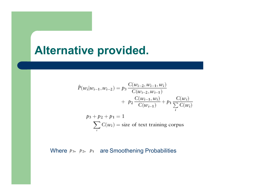#### **Alternative provided.**

$$
\hat{P}(w_i|w_{i-1}, w_{i-2}) = p_3 \frac{C(w_{i-2}, w_{i-1}, w_i)}{C(w_{i-2}, w_{i-1})} \n+ p_2 \frac{C(w_{i-1}, w_i)}{C(w_{i-1})} + p_1 \frac{C(w_i)}{\sum_{i} C(w_i)} \np_3 + p_2 + p_1 = 1 \n\sum_{i} C(w_i) = \text{size of text training corpus}
$$

Where  $p_3$ ,  $p_2$ ,  $p_1$  are Smoothening Probabilities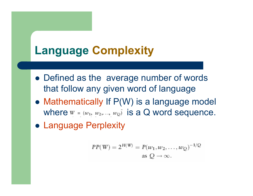### **Language Complexity**

- Defined as the average number of words that follow any given word of language
- $\bullet$  Mathematically If  $P(W)$  is a language model where  $W = (w_1, w_2, ..., w_Q)$  is a Q word sequence.
- **Language Perplexity**

$$
PP(W) = 2^{H(W)} = P(w_1, w_2, ..., w_Q)^{-1/Q}
$$
  
as  $Q \to \infty$ .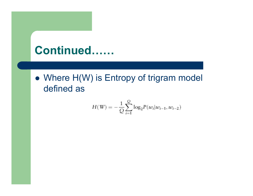### Continued......

• Where H(W) is Entropy of trigram model defined as

$$
H(\mathbf{W}) = -\frac{1}{Q} \sum_{i=1}^{Q} \log_2 P(w_i | w_{i-1}, w_{i-2})
$$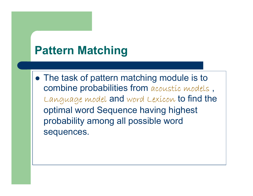### **Pattern Matching**

• The task of pattern matching module is to combine probabilities from acoustic models , Language model and word Lexicon to find the optimal word Sequence having highest probability among all possible word sequences.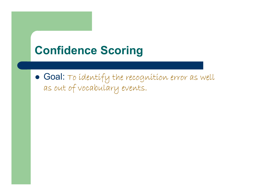### **Confidence Scoring**

**. Goal:** To identify the recognition error as well as out of vocabulary events.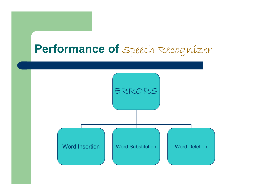### **Performance of** Speech Recognizer

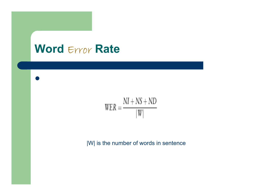### **Word** Error **Rate**

 $\bullet$ 

$$
WER = \frac{NI + NS + ND}{|W|}
$$

|W| is the number of words in sentence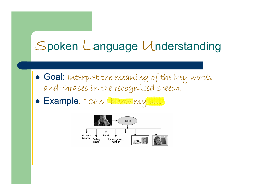# Spoken Language Understanding

- · Goal: Interpret the meaning of the key words and phrases in the recognized speech.
- · Example: " can the now my bill"

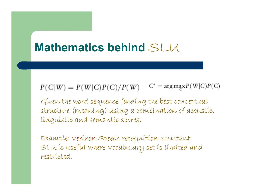### **Mathematics behind** SLU

 $C^* = \arg \max P(W|C)P(C)$  $P(C|W) = P(W|C)P(C)/P(W)$ 

Given the word sequence finding the best conceptual structure (meaning) using a combination of acoustic, linguistic and semantic scores.

Example: Verizon Speech recognition assistant. SLU is useful where Vocabulary set is limited and restricted.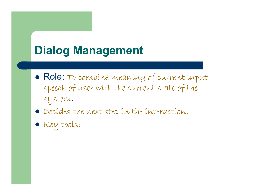## **Dialog Management**

- Role: To combine meaning of current input speech of user with the current state of the system.
- $\bullet$  Decídes the next step in the interaction.
- **•** Key tools: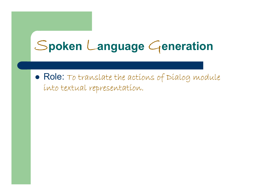# Spoken Language Generation

 $\bullet$  Role: To translate the actions of Dialog module into textual representation.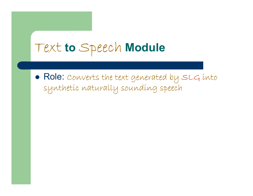## Text **to** Speec<sup>h</sup> **Module**

 $\bullet$  Role: Converts the text generated by SLG into synthetic naturally sounding speech